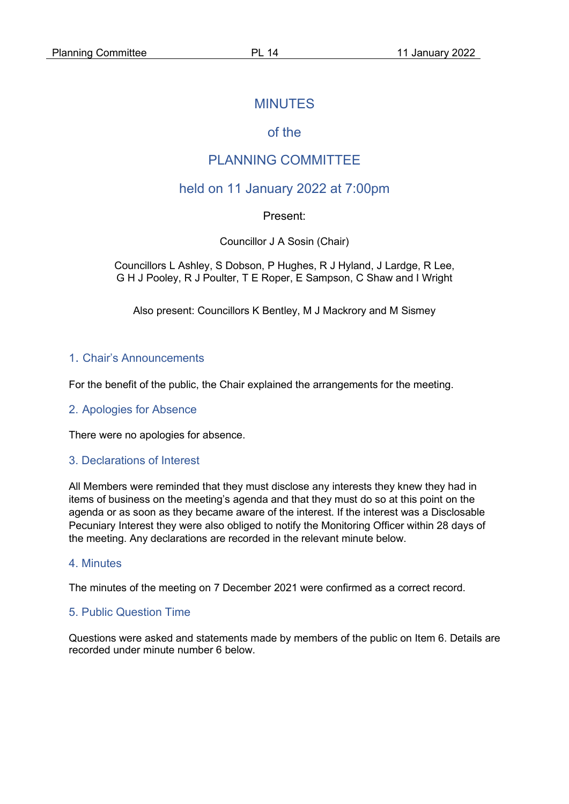## MINUTES

# of the

# PLANNING COMMITTEE

# held on 11 January 2022 at 7:00pm

### Present:

Councillor J A Sosin (Chair)

Councillors L Ashley, S Dobson, P Hughes, R J Hyland, J Lardge, R Lee, G H J Pooley, R J Poulter, T E Roper, E Sampson, C Shaw and I Wright

Also present: Councillors K Bentley, M J Mackrory and M Sismey

### 1. Chair's Announcements

For the benefit of the public, the Chair explained the arrangements for the meeting.

#### 2. Apologies for Absence

There were no apologies for absence.

#### 3. Declarations of Interest

All Members were reminded that they must disclose any interests they knew they had in items of business on the meeting's agenda and that they must do so at this point on the agenda or as soon as they became aware of the interest. If the interest was a Disclosable Pecuniary Interest they were also obliged to notify the Monitoring Officer within 28 days of the meeting. Any declarations are recorded in the relevant minute below.

#### 4. Minutes

The minutes of the meeting on 7 December 2021 were confirmed as a correct record.

### 5. Public Question Time

Questions were asked and statements made by members of the public on Item 6. Details are recorded under minute number 6 below.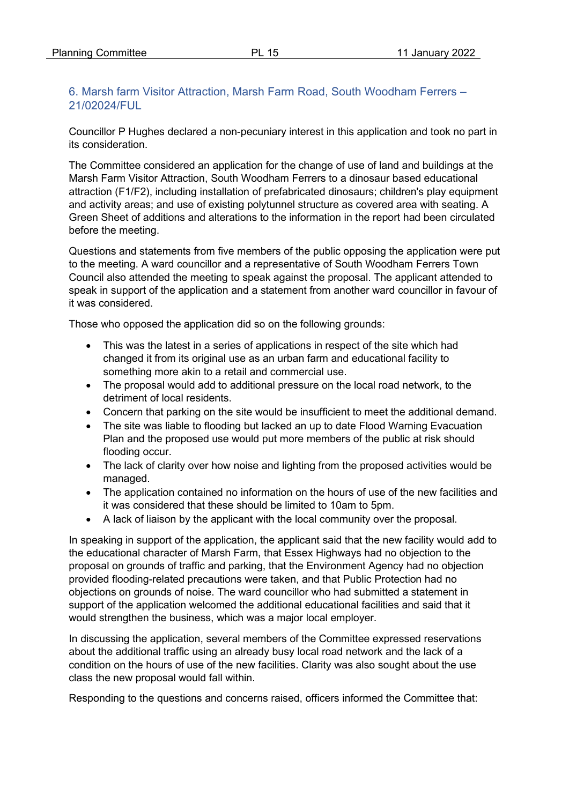## 6. Marsh farm Visitor Attraction, Marsh Farm Road, South Woodham Ferrers – 21/02024/FUL

Councillor P Hughes declared a non-pecuniary interest in this application and took no part in its consideration.

The Committee considered an application for the change of use of land and buildings at the Marsh Farm Visitor Attraction, South Woodham Ferrers to a dinosaur based educational attraction (F1/F2), including installation of prefabricated dinosaurs; children's play equipment and activity areas; and use of existing polytunnel structure as covered area with seating. A Green Sheet of additions and alterations to the information in the report had been circulated before the meeting.

Questions and statements from five members of the public opposing the application were put to the meeting. A ward councillor and a representative of South Woodham Ferrers Town Council also attended the meeting to speak against the proposal. The applicant attended to speak in support of the application and a statement from another ward councillor in favour of it was considered.

Those who opposed the application did so on the following grounds:

- This was the latest in a series of applications in respect of the site which had changed it from its original use as an urban farm and educational facility to something more akin to a retail and commercial use.
- The proposal would add to additional pressure on the local road network, to the detriment of local residents.
- Concern that parking on the site would be insufficient to meet the additional demand.
- The site was liable to flooding but lacked an up to date Flood Warning Evacuation Plan and the proposed use would put more members of the public at risk should flooding occur.
- The lack of clarity over how noise and lighting from the proposed activities would be managed.
- The application contained no information on the hours of use of the new facilities and it was considered that these should be limited to 10am to 5pm.
- A lack of liaison by the applicant with the local community over the proposal.

In speaking in support of the application, the applicant said that the new facility would add to the educational character of Marsh Farm, that Essex Highways had no objection to the proposal on grounds of traffic and parking, that the Environment Agency had no objection provided flooding-related precautions were taken, and that Public Protection had no objections on grounds of noise. The ward councillor who had submitted a statement in support of the application welcomed the additional educational facilities and said that it would strengthen the business, which was a major local employer.

In discussing the application, several members of the Committee expressed reservations about the additional traffic using an already busy local road network and the lack of a condition on the hours of use of the new facilities. Clarity was also sought about the use class the new proposal would fall within.

Responding to the questions and concerns raised, officers informed the Committee that: